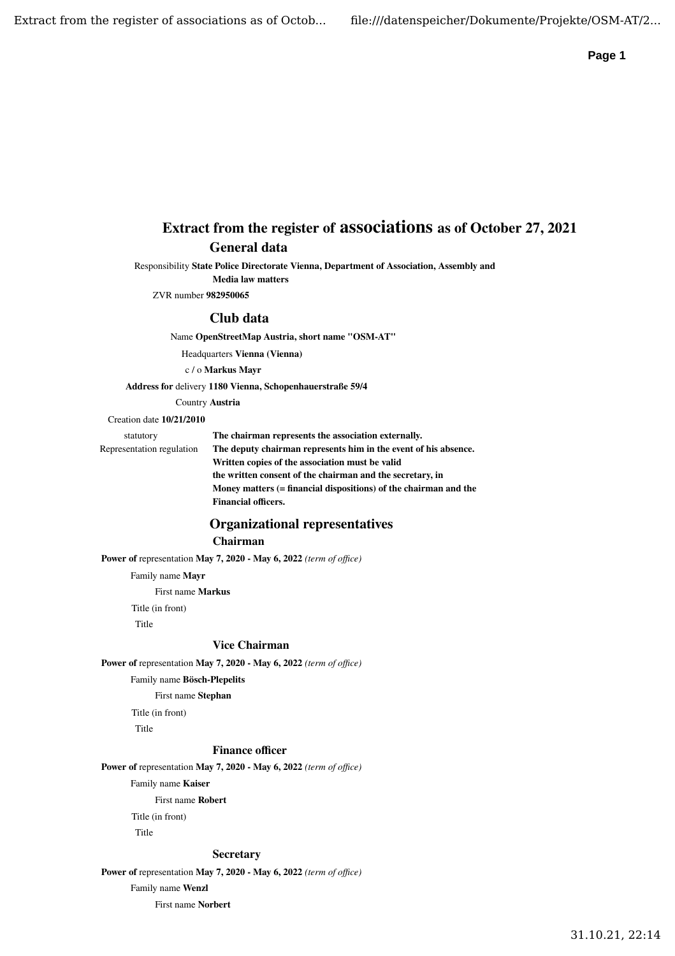# **Extract from the register of associations as of October 27, 2021 General data**

Responsibility **State Police Directorate Vienna, Department of Association, Assembly and Media law matters**

ZVR number **982950065**

### **Club data**

Name **OpenStreetMap Austria, short name "OSM-AT"**

Headquarters **Vienna (Vienna)**

c / o **Markus Mayr**

**Address for** delivery **1180 Vienna, Schopenhauerstraße 59/4**

Country **Austria**

#### Creation date **10/21/2010**

statutory Representation regulation **The chairman represents the association externally. The deputy chairman represents him in the event of his absence. Written copies of the association must be valid the written consent of the chairman and the secretary, in Money matters (= financial dispositions) of the chairman and the Financial officers.**

## **Organizational representatives Chairman**

**Power of** representation **May 7, 2020 - May 6, 2022** *(term of office)*

Family name **Mayr**

First name **Markus**

Title (in front)

Title

#### **Vice Chairman**

**Power of** representation **May 7, 2020 - May 6, 2022** *(term of office)*

Family name **Bösch-Plepelits**

First name **Stephan**

Title (in front)

Title

#### **Finance officer**

**Power of** representation **May 7, 2020 - May 6, 2022** *(term of office)*

Family name **Kaiser**

First name **Robert**

Title (in front)

Title

#### **Secretary**

**Power of** representation **May 7, 2020 - May 6, 2022** *(term of office)*

Family name **Wenzl**

First name **Norbert**